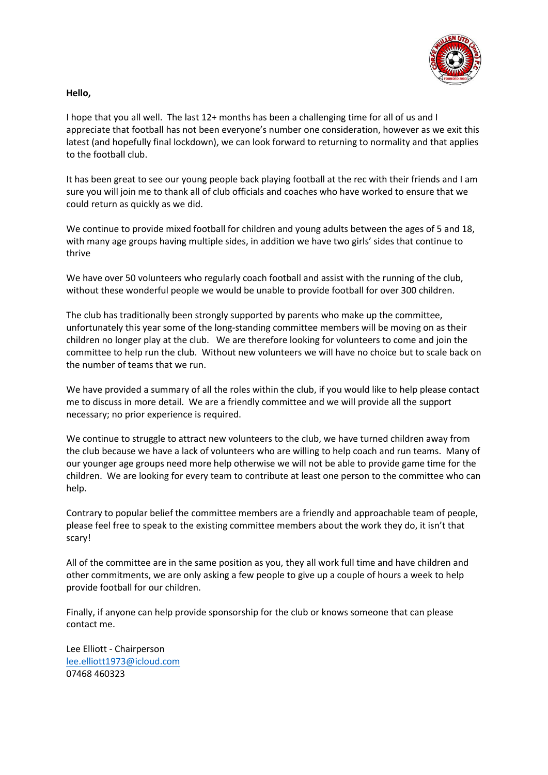

#### **Hello,**

I hope that you all well. The last 12+ months has been a challenging time for all of us and I appreciate that football has not been everyone's number one consideration, however as we exit this latest (and hopefully final lockdown), we can look forward to returning to normality and that applies to the football club.

It has been great to see our young people back playing football at the rec with their friends and I am sure you will join me to thank all of club officials and coaches who have worked to ensure that we could return as quickly as we did.

We continue to provide mixed football for children and young adults between the ages of 5 and 18, with many age groups having multiple sides, in addition we have two girls' sides that continue to thrive

We have over 50 volunteers who regularly coach football and assist with the running of the club, without these wonderful people we would be unable to provide football for over 300 children.

The club has traditionally been strongly supported by parents who make up the committee, unfortunately this year some of the long-standing committee members will be moving on as their children no longer play at the club. We are therefore looking for volunteers to come and join the committee to help run the club. Without new volunteers we will have no choice but to scale back on the number of teams that we run.

We have provided a summary of all the roles within the club, if you would like to help please contact me to discuss in more detail. We are a friendly committee and we will provide all the support necessary; no prior experience is required.

We continue to struggle to attract new volunteers to the club, we have turned children away from the club because we have a lack of volunteers who are willing to help coach and run teams. Many of our younger age groups need more help otherwise we will not be able to provide game time for the children. We are looking for every team to contribute at least one person to the committee who can help.

Contrary to popular belief the committee members are a friendly and approachable team of people, please feel free to speak to the existing committee members about the work they do, it isn't that scary!

All of the committee are in the same position as you, they all work full time and have children and other commitments, we are only asking a few people to give up a couple of hours a week to help provide football for our children.

Finally, if anyone can help provide sponsorship for the club or knows someone that can please contact me.

Lee Elliott - Chairperson [lee.elliott1973@icloud.com](mailto:lee.elliott1973@icloud.com) 07468 460323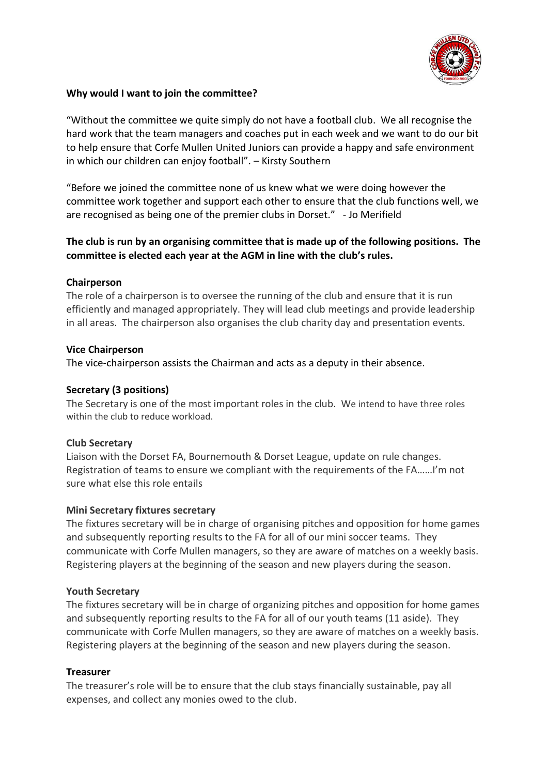

## **Why would I want to join the committee?**

"Without the committee we quite simply do not have a football club. We all recognise the hard work that the team managers and coaches put in each week and we want to do our bit to help ensure that Corfe Mullen United Juniors can provide a happy and safe environment in which our children can enjoy football". – Kirsty Southern

"Before we joined the committee none of us knew what we were doing however the committee work together and support each other to ensure that the club functions well, we are recognised as being one of the premier clubs in Dorset." - Jo Merifield

# **The club is run by an organising committee that is made up of the following positions. The committee is elected each year at the AGM in line with the club's rules.**

## **Chairperson**

The role of a chairperson is to oversee the running of the club and ensure that it is run efficiently and managed appropriately. They will lead club meetings and provide leadership in all areas. The chairperson also organises the club charity day and presentation events.

#### **Vice Chairperson**

The vice-chairperson assists the Chairman and acts as a deputy in their absence.

### **Secretary (3 positions)**

The Secretary is one of the most important roles in the club. We intend to have three roles within the club to reduce workload.

## **Club Secretary**

Liaison with the Dorset FA, Bournemouth & Dorset League, update on rule changes. Registration of teams to ensure we compliant with the requirements of the FA……I'm not sure what else this role entails

## **Mini Secretary fixtures secretary**

The fixtures secretary will be in charge of organising pitches and opposition for home games and subsequently reporting results to the FA for all of our mini soccer teams. They communicate with Corfe Mullen managers, so they are aware of matches on a weekly basis. Registering players at the beginning of the season and new players during the season.

#### **Youth Secretary**

The fixtures secretary will be in charge of organizing pitches and opposition for home games and subsequently reporting results to the FA for all of our youth teams (11 aside). They communicate with Corfe Mullen managers, so they are aware of matches on a weekly basis. Registering players at the beginning of the season and new players during the season.

#### **Treasurer**

The treasurer's role will be to ensure that the club stays financially sustainable, pay all expenses, and collect any monies owed to the club.